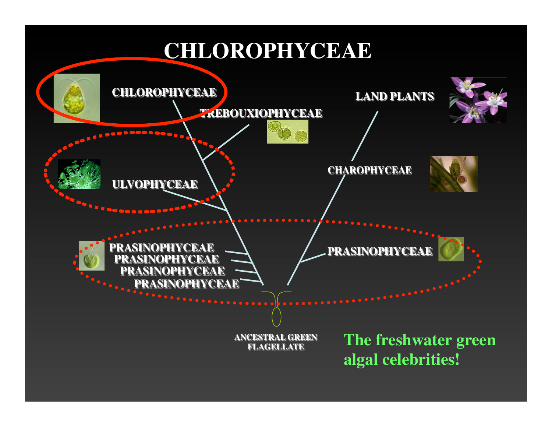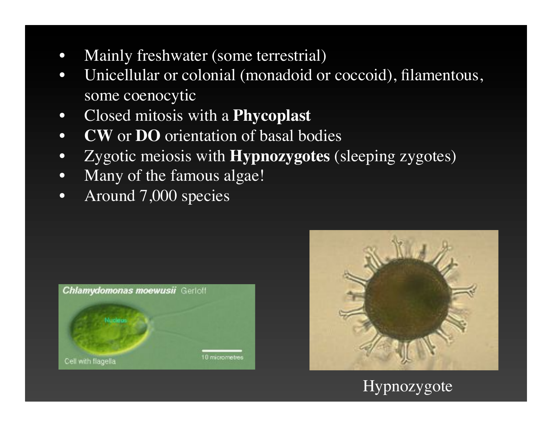- Mainly freshwater (some terrestrial)
- Unicellular or colonial (monadoid or coccoid), filamentous, some coenocytic
- Closed mitosis with a **Phycoplast**
- **CW** or **DO** orientation of basal bodies
- Zygotic meiosis with **Hypnozygotes** (sleeping zygotes)
- Many of the famous algae!
- Around 7,000 species





# Hypnozygote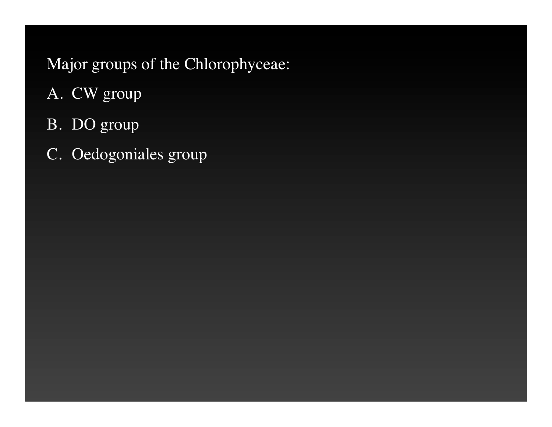# Major groups of the Chlorophyceae:

- A. CW group
- B. DO group
- C. Oedogoniales group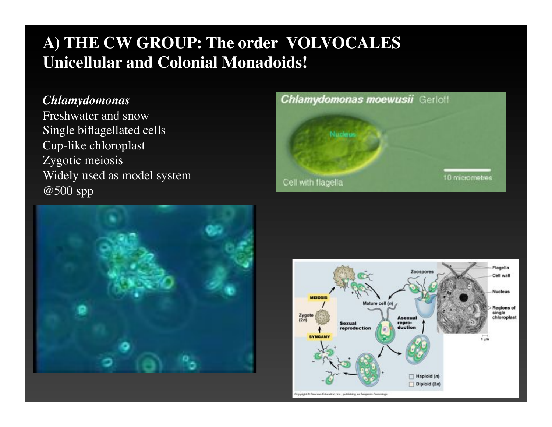# **A) THE CW GROUP: The order VOLVOCALES Unicellular and Colonial Monadoids!**

#### *Chlamydomonas*

Freshwater and snow Single biflagellated cells Cup-like chloroplast Zygotic meiosis Widely used as model system @500 spp





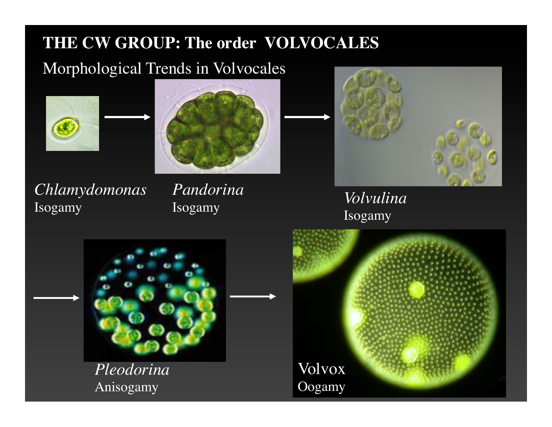# **THE CW GROUP: The order VOLVOCALES**

# Morphological Trends in Volvocales





*Chlamydomonas* Chiamyaomonas I anaorina<br>Isogamy *Isogamy Isogamy Isogamy Isogamy* 

*Pandorina* Isogamy



Isogamy



*Pleodorina* Anisogamy

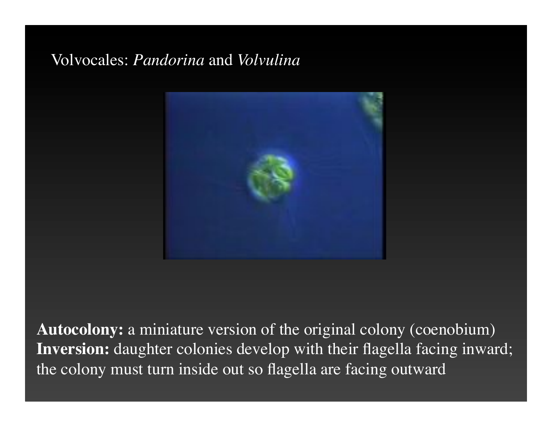# Volvocales: *Pandorina* and *Volvulina*



**Autocolony:** a miniature version of the original colony (coenobium) **Inversion:** daughter colonies develop with their flagella facing inward; the colony must turn inside out so flagella are facing outward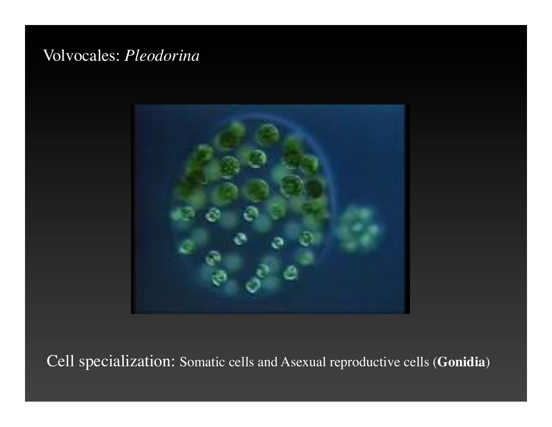# Volvocales: *Pleodorina*



Cell specialization: Somatic cells and Asexual reproductive cells (**Gonidia**)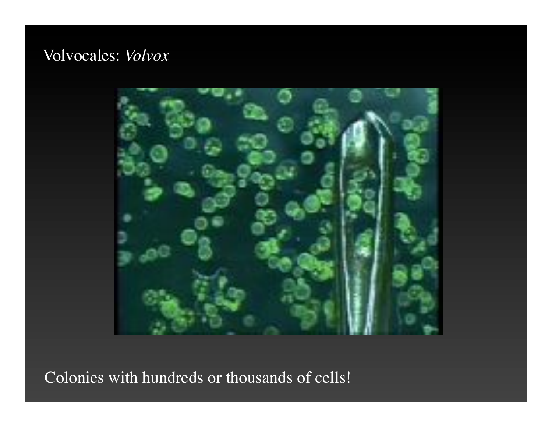# Volvocales: *Volvox*



Colonies with hundreds or thousands of cells!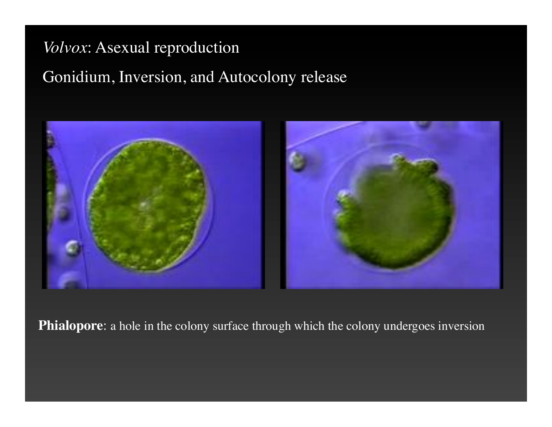# *Volvox*: Asexual reproduction

# Gonidium, Inversion, and Autocolony release



**Phialopore**: a hole in the colony surface through which the colony undergoes inversion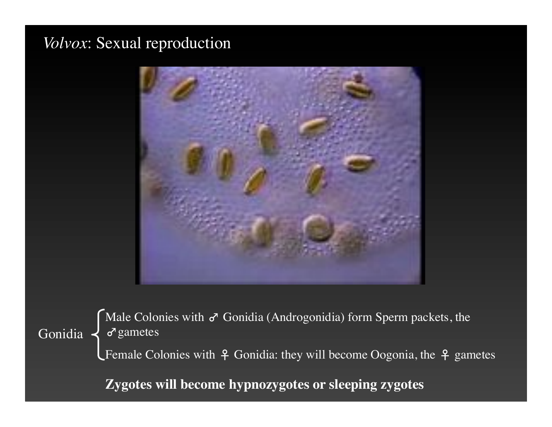## *Volvox*: Sexual reproduction



Gonidia  $\left\{ \sigma$  gametes Male Colonies with  $\sigma$  Gonidia (Androgonidia) form Sperm packets, the

**L** Female Colonies with  $\varphi$  Gonidia: they will become Oogonia, the  $\varphi$  gametes

**Zygotes will become hypnozygotes or sleeping zygotes**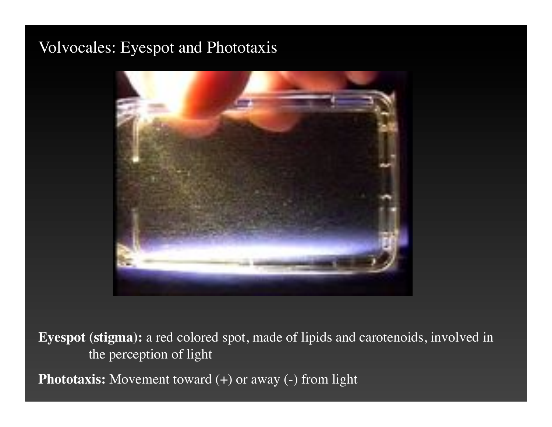# Volvocales: Eyespot and Phototaxis



**Eyespot (stigma):** a red colored spot, made of lipids and carotenoids, involved in the perception of light

**Phototaxis:** Movement toward (+) or away (-) from light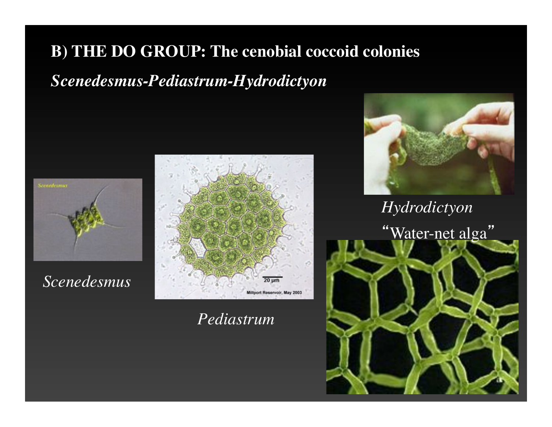# **B) THE DO GROUP: The cenobial coccoid colonies**

# *Scenedesmus-Pediastrum-Hydrodictyon*





*Scenedesmus*



# *Pediastrum*



*Hydrodictyon* "Water-net alga"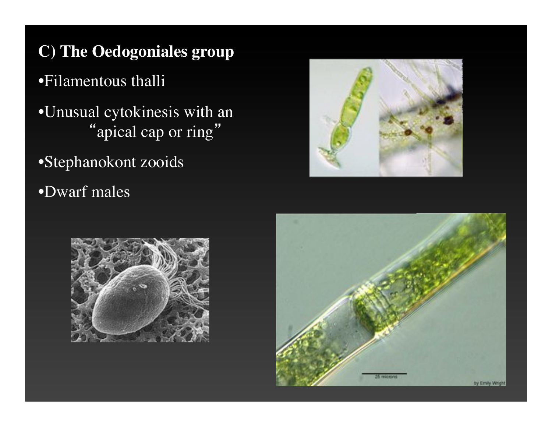**C) The Oedogoniales group**

•Filamentous thalli

- •Unusual cytokinesis with an "apical cap or ring"
- •Stephanokont zooids
- •Dwarf males





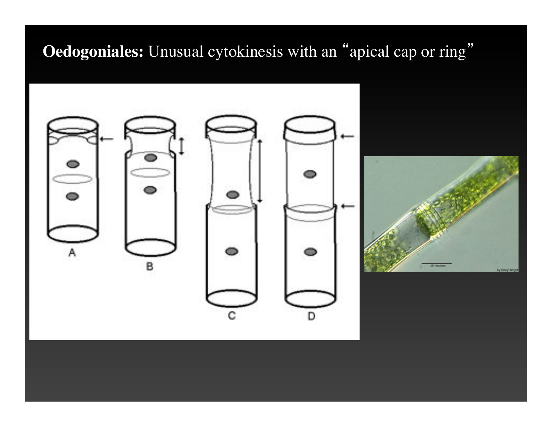# **Oedogoniales:** Unusual cytokinesis with an "apical cap or ring"